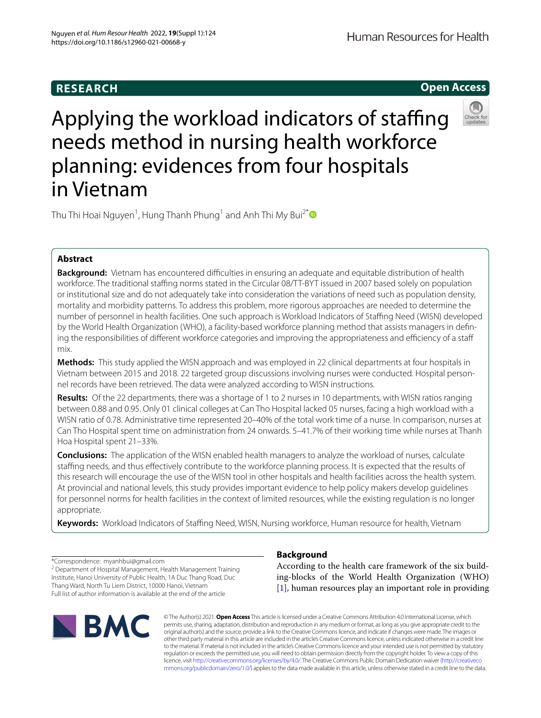## **RESEARCH**

Human Resources for Health

**Open Access**

# Applying the workload indicators of staffing needs method in nursing health workforce planning: evidences from four hospitals in Vietnam



Thu Thi Hoai Nguyen $^1$ , Hung Thanh Phung $^1$  and Anh Thi My Bui $^{2^\ast}$ 

## **Abstract**

**Background:** Vietnam has encountered difficulties in ensuring an adequate and equitable distribution of health workforce. The traditional staffing norms stated in the Circular 08/TT-BYT issued in 2007 based solely on population or institutional size and do not adequately take into consideration the variations of need such as population density, mortality and morbidity patterns. To address this problem, more rigorous approaches are needed to determine the number of personnel in health facilities. One such approach is Workload Indicators of Staffing Need (WISN) developed by the World Health Organization (WHO), a facility-based workforce planning method that assists managers in defning the responsibilities of different workforce categories and improving the appropriateness and efficiency of a staff mix.

**Methods:** This study applied the WISN approach and was employed in 22 clinical departments at four hospitals in Vietnam between 2015 and 2018. 22 targeted group discussions involving nurses were conducted. Hospital personnel records have been retrieved. The data were analyzed according to WISN instructions.

**Results:** Of the 22 departments, there was a shortage of 1 to 2 nurses in 10 departments, with WISN ratios ranging between 0.88 and 0.95. Only 01 clinical colleges at Can Tho Hospital lacked 05 nurses, facing a high workload with a WISN ratio of 0.78. Administrative time represented 20-40% of the total work time of a nurse. In comparison, nurses at Can Tho Hospital spent time on administration from 24 onwards. 5–41.7% of their working time while nurses at Thanh Hoa Hospital spent 21–33%.

**Conclusions:** The application of the WISN enabled health managers to analyze the workload of nurses, calculate stafng needs, and thus efectively contribute to the workforce planning process. It is expected that the results of this research will encourage the use of the WISN tool in other hospitals and health facilities across the health system. At provincial and national levels, this study provides important evidence to help policy makers develop guidelines for personnel norms for health facilities in the context of limited resources, while the existing regulation is no longer appropriate.

Keywords: Workload Indicators of Staffing Need, WISN, Nursing workforce, Human resource for health, Vietnam

\*Correspondence: myanhbui@gmail.com <sup>2</sup> Department of Hospital Management, Health Management Training Institute, Hanoi University of Public Health, 1A Duc Thang Road, Duc Thang Ward, North Tu Liem District, 10000 Hanoi, Vietnam Full list of author information is available at the end of the article



## **Background**

According to the health care framework of the six building-blocks of the World Health Organization (WHO) [[1\]](#page-6-0), human resources play an important role in providing

© The Author(s) 2021. **Open Access** This article is licensed under a Creative Commons Attribution 4.0 International License, which permits use, sharing, adaptation, distribution and reproduction in any medium or format, as long as you give appropriate credit to the original author(s) and the source, provide a link to the Creative Commons licence, and indicate if changes were made. The images or other third party material in this article are included in the article's Creative Commons licence, unless indicated otherwise in a credit line to the material. If material is not included in the article's Creative Commons licence and your intended use is not permitted by statutory regulation or exceeds the permitted use, you will need to obtain permission directly from the copyright holder. To view a copy of this licence, visit [http://creativecommons.org/licenses/by/4.0/.](http://creativecommons.org/licenses/by/4.0/) The Creative Commons Public Domain Dedication waiver ([http://creativeco](http://creativecommons.org/publicdomain/zero/1.0/) [mmons.org/publicdomain/zero/1.0/](http://creativecommons.org/publicdomain/zero/1.0/)) applies to the data made available in this article, unless otherwise stated in a credit line to the data.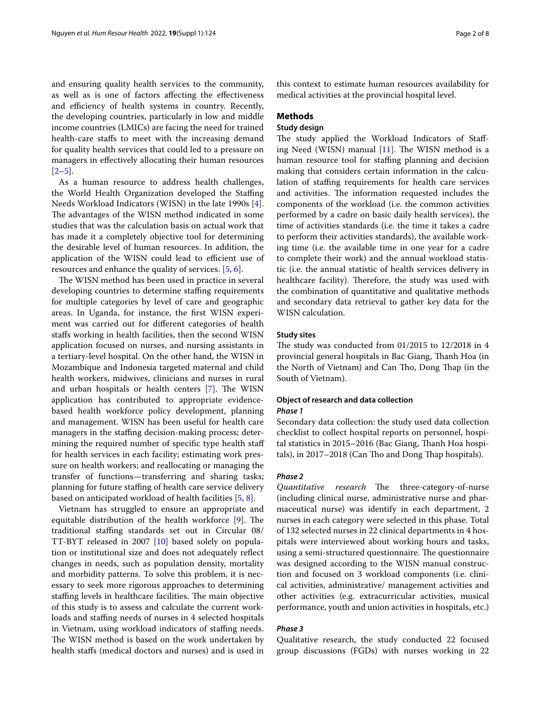and ensuring quality health services to the community, as well as is one of factors afecting the efectiveness and efficiency of health systems in country. Recently, the developing countries, particularly in low and middle income countries (LMICs) are facing the need for trained health-care stafs to meet with the increasing demand for quality health services that could led to a pressure on managers in efectively allocating their human resources  $[2-5]$  $[2-5]$ .

As a human resource to address health challenges, the World Health Organization developed the Staffing Needs Workload Indicators (WISN) in the late 1990s [\[4](#page-6-2)]. The advantages of the WISN method indicated in some studies that was the calculation basis on actual work that has made it a completely objective tool for determining the desirable level of human resources. In addition, the application of the WISN could lead to efficient use of resources and enhance the quality of services. [\[5,](#page-7-0) [6](#page-7-1)].

The WISN method has been used in practice in several developing countries to determine staffing requirements for multiple categories by level of care and geographic areas. In Uganda, for instance, the frst WISN experiment was carried out for diferent categories of health stafs working in health facilities, then the second WISN application focused on nurses, and nursing assistants in a tertiary-level hospital. On the other hand, the WISN in Mozambique and Indonesia targeted maternal and child health workers, midwives, clinicians and nurses in rural and urban hospitals or health centers  $[7]$ . The WISN application has contributed to appropriate evidencebased health workforce policy development, planning and management. WISN has been useful for health care managers in the staffing decision-making process; determining the required number of specifc type health staf for health services in each facility; estimating work pressure on health workers; and reallocating or managing the transfer of functions—transferring and sharing tasks; planning for future staffing of health care service delivery based on anticipated workload of health facilities [[5](#page-7-0), [8\]](#page-7-3).

Vietnam has struggled to ensure an appropriate and equitable distribution of the health workforce  $[9]$  $[9]$ . The traditional stafng standards set out in Circular 08/ TT-BYT released in 2007 [\[10](#page-7-5)] based solely on population or institutional size and does not adequately refect changes in needs, such as population density, mortality and morbidity patterns. To solve this problem, it is necessary to seek more rigorous approaches to determining staffing levels in healthcare facilities. The main objective of this study is to assess and calculate the current workloads and staffing needs of nurses in 4 selected hospitals in Vietnam, using workload indicators of staffing needs. The WISN method is based on the work undertaken by health stafs (medical doctors and nurses) and is used in this context to estimate human resources availability for medical activities at the provincial hospital level.

## **Methods**

## **Study design**

The study applied the Workload Indicators of Staffing Need (WISN) manual  $[11]$  $[11]$ . The WISN method is a human resource tool for staffing planning and decision making that considers certain information in the calculation of stafng requirements for health care services and activities. The information requested includes the components of the workload (i.e. the common activities performed by a cadre on basic daily health services), the time of activities standards (i.e. the time it takes a cadre to perform their activities standards), the available working time (i.e. the available time in one year for a cadre to complete their work) and the annual workload statistic (i.e. the annual statistic of health services delivery in healthcare facility). Therefore, the study was used with the combination of quantitative and qualitative methods and secondary data retrieval to gather key data for the WISN calculation.

## **Study sites**

The study was conducted from  $01/2015$  to  $12/2018$  in 4 provincial general hospitals in Bac Giang, Thanh Hoa (in the North of Vietnam) and Can Tho, Dong Thap (in the South of Vietnam).

## **Object of research and data collection** *Phase 1*

Secondary data collection: the study used data collection checklist to collect hospital reports on personnel, hospital statistics in 2015–2016 (Bac Giang, Thanh Hoa hospitals), in 2017-2018 (Can Tho and Dong Thap hospitals).

## *Phase 2*

*Quantitative research* The three-category-of-nurse (including clinical nurse, administrative nurse and pharmaceutical nurse) was identify in each department, 2 nurses in each category were selected in this phase. Total of 132 selected nurses in 22 clinical departments in 4 hospitals were interviewed about working hours and tasks, using a semi-structured questionnaire. The questionnaire was designed according to the WISN manual construction and focused on 3 workload components (i.e. clinical activities, administrative/ management activities and other activities (e.g. extracurricular activities, musical performance, youth and union activities in hospitals, etc.)

## *Phase 3*

Qualitative research, the study conducted 22 focused group discussions (FGDs) with nurses working in 22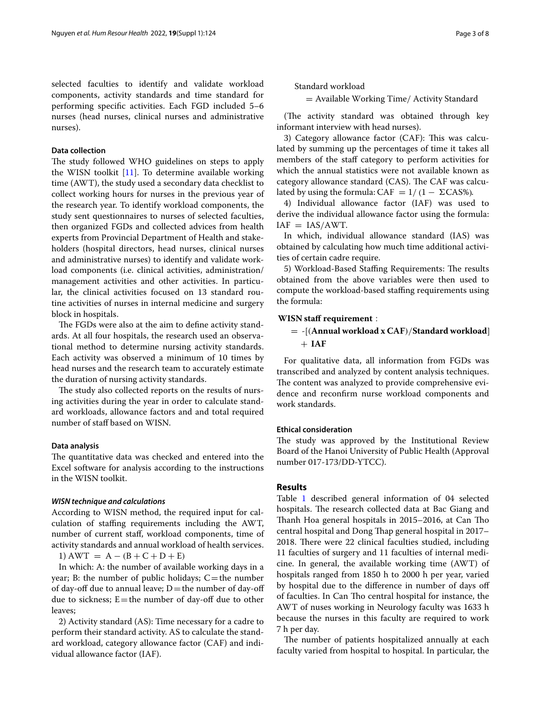selected faculties to identify and validate workload components, activity standards and time standard for performing specifc activities. Each FGD included 5–6 nurses (head nurses, clinical nurses and administrative nurses).

## **Data collection**

The study followed WHO guidelines on steps to apply the WISN toolkit [[11\]](#page-7-6). To determine available working time (AWT), the study used a secondary data checklist to collect working hours for nurses in the previous year of the research year. To identify workload components, the study sent questionnaires to nurses of selected faculties, then organized FGDs and collected advices from health experts from Provincial Department of Health and stakeholders (hospital directors, head nurses, clinical nurses and administrative nurses) to identify and validate workload components (i.e. clinical activities, administration/ management activities and other activities. In particular, the clinical activities focused on 13 standard routine activities of nurses in internal medicine and surgery block in hospitals.

The FGDs were also at the aim to define activity standards. At all four hospitals, the research used an observational method to determine nursing activity standards. Each activity was observed a minimum of 10 times by head nurses and the research team to accurately estimate the duration of nursing activity standards.

The study also collected reports on the results of nursing activities during the year in order to calculate standard workloads, allowance factors and and total required number of staff based on WISN.

## **Data analysis**

The quantitative data was checked and entered into the Excel software for analysis according to the instructions in the WISN toolkit.

#### *WISN technique and calculations*

According to WISN method, the required input for calculation of stafng requirements including the AWT, number of current staf, workload components, time of activity standards and annual workload of health services.

1) AWT =  $A - (B + C + D + E)$ 

In which: A: the number of available working days in a year; B: the number of public holidays;  $C$  = the number of day-off due to annual leave;  $D$  = the number of day-off due to sickness;  $E$  = the number of day-off due to other leaves;

2) Activity standard (AS): Time necessary for a cadre to perform their standard activity. AS to calculate the standard workload, category allowance factor (CAF) and individual allowance factor (IAF).

Standard workload

= Available Working Time/ Activity Standard

(The activity standard was obtained through key informant interview with head nurses).

3) Category allowance factor (CAF): This was calculated by summing up the percentages of time it takes all members of the staff category to perform activities for which the annual statistics were not available known as category allowance standard (CAS). The CAF was calculated by using the formula: CAF =  $1/(1 - \Sigma$ CAS%).

4) Individual allowance factor (IAF) was used to derive the individual allowance factor using the formula:  $IAF = IAS/AWT$ .

In which, individual allowance standard (IAS) was obtained by calculating how much time additional activities of certain cadre require.

5) Workload-Based Staffing Requirements: The results obtained from the above variables were then used to compute the workload-based stafng requirements using the formula:

## **WISN staff requirement** :

## = -[(**Annual workload x CAF**)/**Standard workload**]  $+$ **IAF**

For qualitative data, all information from FGDs was transcribed and analyzed by content analysis techniques. The content was analyzed to provide comprehensive evidence and reconfrm nurse workload components and work standards.

## **Ethical consideration**

The study was approved by the Institutional Review Board of the Hanoi University of Public Health (Approval number 017-173/DD-YTCC).

## **Results**

Table [1](#page-3-0) described general information of 04 selected hospitals. The research collected data at Bac Giang and Thanh Hoa general hospitals in 2015-2016, at Can Tho central hospital and Dong Thap general hospital in 2017– 2018. There were 22 clinical faculties studied, including 11 faculties of surgery and 11 faculties of internal medicine. In general, the available working time (AWT) of hospitals ranged from 1850 h to 2000 h per year, varied by hospital due to the diference in number of days of of faculties. In Can Tho central hospital for instance, the AWT of nuses working in Neurology faculty was 1633 h because the nurses in this faculty are required to work 7 h per day.

The number of patients hospitalized annually at each faculty varied from hospital to hospital. In particular, the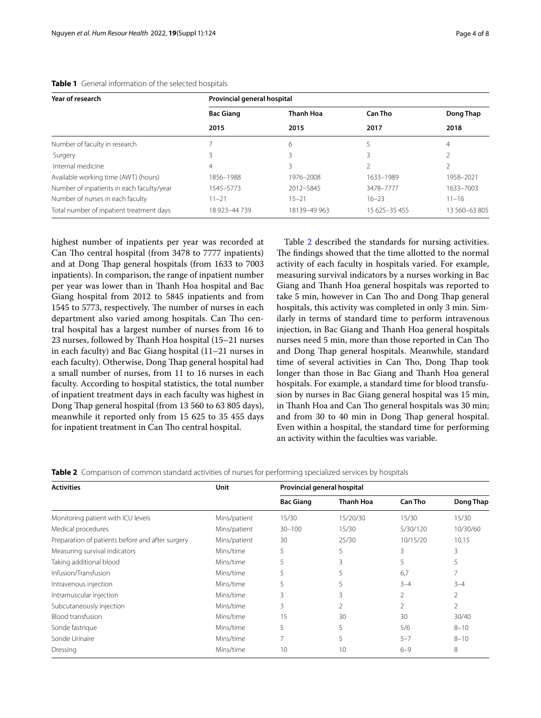| Year of research                          | Provincial general hospital |                  |               |                   |  |  |
|-------------------------------------------|-----------------------------|------------------|---------------|-------------------|--|--|
|                                           | <b>Bac Giang</b>            | <b>Thanh Hoa</b> | Can Tho       | Dong Thap<br>2018 |  |  |
|                                           | 2015                        | 2015             | 2017          |                   |  |  |
| Number of faculty in research             |                             | 6                |               | 4                 |  |  |
| Surgery                                   |                             |                  |               |                   |  |  |
| Internal medicine                         | 4                           |                  |               |                   |  |  |
| Available working time (AWT) (hours)      | 1856-1988                   | 1976-2008        | 1633-1989     | 1958-2021         |  |  |
| Number of inpatients in each faculty/year | 1545–5773                   | 2012-5845        | 3478-7777     | 1633-7003         |  |  |
| Number of nurses in each faculty          | $11 - 21$                   | $15 - 21$        | $16 - 23$     | $11 - 16$         |  |  |
| Total number of inpatient treatment days  | 18 923-44 739               | 18139-49 963     | 15 625-35 455 | 13 560-63 805     |  |  |

## <span id="page-3-0"></span>**Table 1** General information of the selected hospitals

highest number of inpatients per year was recorded at Can Tho central hospital (from 3478 to 7777 inpatients) and at Dong Thap general hospitals (from 1633 to 7003 inpatients). In comparison, the range of inpatient number per year was lower than in Thanh Hoa hospital and Bac Giang hospital from 2012 to 5845 inpatients and from 1545 to 5773, respectively. The number of nurses in each department also varied among hospitals. Can Tho central hospital has a largest number of nurses from 16 to 23 nurses, followed by Thanh Hoa hospital (15-21 nurses in each faculty) and Bac Giang hospital (11–21 nurses in each faculty). Otherwise, Dong Thap general hospital had a small number of nurses, from 11 to 16 nurses in each faculty. According to hospital statistics, the total number of inpatient treatment days in each faculty was highest in Dong Thap general hospital (from 13 560 to 63 805 days), meanwhile it reported only from 15 625 to 35 455 days for inpatient treatment in Can Tho central hospital.

Table [2](#page-3-1) described the standards for nursing activities. The findings showed that the time allotted to the normal activity of each faculty in hospitals varied. For example, measuring survival indicators by a nurses working in Bac Giang and Thanh Hoa general hospitals was reported to take 5 min, however in Can Tho and Dong Thap general hospitals, this activity was completed in only 3 min. Similarly in terms of standard time to perform intravenous injection, in Bac Giang and Thanh Hoa general hospitals nurses need 5 min, more than those reported in Can Tho and Dong Thap general hospitals. Meanwhile, standard time of several activities in Can Tho, Dong Thap took longer than those in Bac Giang and Thanh Hoa general hospitals. For example, a standard time for blood transfusion by nurses in Bac Giang general hospital was 15 min, in Thanh Hoa and Can Tho general hospitals was 30 min; and from 30 to 40 min in Dong Thap general hospital. Even within a hospital, the standard time for performing an activity within the faculties was variable.

<span id="page-3-1"></span>**Table 2** Comparison of common standard activities of nurses for performing specialized services by hospitals

| <b>Activities</b>                                | Unit         | Provincial general hospital |                  |                |           |
|--------------------------------------------------|--------------|-----------------------------|------------------|----------------|-----------|
|                                                  |              | <b>Bac Giang</b>            | <b>Thanh Hoa</b> | <b>Can Tho</b> | Dong Thap |
| Monitoring patient with ICU levels               | Mins/patient | 15/30                       | 15/20/30         | 15/30          | 15/30     |
| Medical procedures                               | Mins/patient | $30 - 100$                  | 15/30            | 5/30/120       | 10/30/60  |
| Preparation of patients before and after surgery | Mins/patient | 30                          | 25/30            | 10/15/20       | 10,15     |
| Measuring survival indicators                    | Mins/time    | 5                           | 5                | 3              | 3         |
| Taking additional blood                          | Mins/time    | 5                           | 3                | 5              | 5         |
| Infusion/Transfusion                             | Mins/time    | 5                           | 5                | 6,7            |           |
| Intravenous injection                            | Mins/time    | 5                           | 5                | $3 - 4$        | $3 - 4$   |
| Intramuscular injection                          | Mins/time    | 3                           | 3                | 2              |           |
| Subcutaneously injection                         | Mins/time    | 3                           | 2                | $\overline{2}$ | 2         |
| Blood transfusion                                | Mins/time    | 15                          | 30               | 30             | 30/40     |
| Sonde fastrique                                  | Mins/time    | 5                           | 5                | 5/6            | $8 - 10$  |
| Sonde Urinaire                                   | Mins/time    | 7                           | 5                | $5 - 7$        | $8 - 10$  |
| Dressing                                         | Mins/time    | 10                          | 10               | $6 - 9$        | 8         |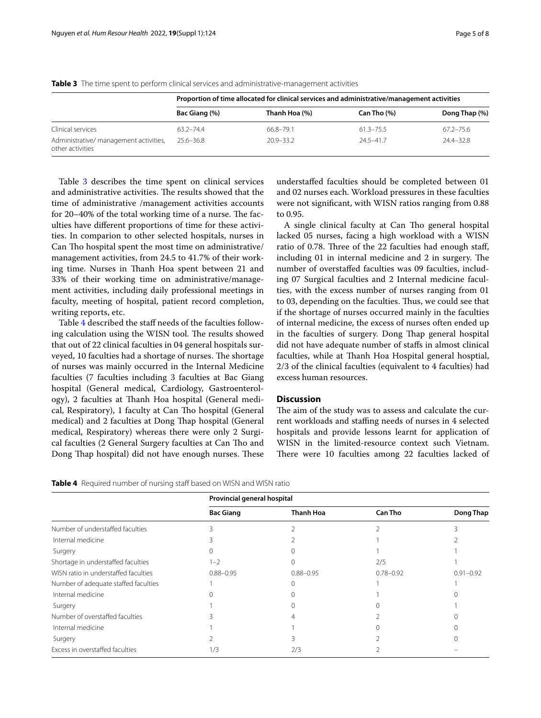|                                                            | Proportion of time allocated for clinical services and administrative/management activities |               |                  |               |  |
|------------------------------------------------------------|---------------------------------------------------------------------------------------------|---------------|------------------|---------------|--|
|                                                            | Bac Giang (%)                                                                               | Thanh Hoa (%) | $Can$ Tho $(\%)$ | Dong Thap (%) |  |
| Clinical services                                          | $63.2 - 74.4$                                                                               | 66.8-79.1     | $61.3 - 75.5$    | $67.2 - 75.6$ |  |
| Administrative/ management activities,<br>other activities | $25.6 - 36.8$                                                                               | $20.9 - 33.2$ | $24.5 - 41.7$    | $74.4 - 37.8$ |  |

<span id="page-4-0"></span>**Table 3** The time spent to perform clinical services and administrative-management activities

Table [3](#page-4-0) describes the time spent on clinical services and administrative activities. The results showed that the time of administrative /management activities accounts for  $20-40\%$  of the total working time of a nurse. The faculties have diferent proportions of time for these activities. In comparion to other selected hospitals, nurses in Can Tho hospital spent the most time on administrative/ management activities, from 24.5 to 41.7% of their working time. Nurses in Thanh Hoa spent between 21 and 33% of their working time on administrative/management activities, including daily professional meetings in faculty, meeting of hospital, patient record completion, writing reports, etc.

Table [4](#page-4-1) described the staff needs of the faculties following calculation using the WISN tool. The results showed that out of 22 clinical faculties in 04 general hospitals surveyed, 10 faculties had a shortage of nurses. The shortage of nurses was mainly occurred in the Internal Medicine faculties (7 faculties including 3 faculties at Bac Giang hospital (General medical, Cardiology, Gastroenterology), 2 faculties at Thanh Hoa hospital (General medical, Respiratory), 1 faculty at Can Tho hospital (General medical) and 2 faculties at Dong Thap hospital (General medical, Respiratory) whereas there were only 2 Surgical faculties (2 General Surgery faculties at Can Tho and Dong Thap hospital) did not have enough nurses. These

understafed faculties should be completed between 01 and 02 nurses each. Workload pressures in these faculties were not signifcant, with WISN ratios ranging from 0.88 to 0.95.

A single clinical faculty at Can Tho general hospital lacked 05 nurses, facing a high workload with a WISN ratio of 0.78. Three of the 22 faculties had enough staff, including  $01$  in internal medicine and  $2$  in surgery. The number of overstafed faculties was 09 faculties, including 07 Surgical faculties and 2 Internal medicine faculties, with the excess number of nurses ranging from 01 to 03, depending on the faculties. Thus, we could see that if the shortage of nurses occurred mainly in the faculties of internal medicine, the excess of nurses often ended up in the faculties of surgery. Dong Thap general hospital did not have adequate number of stafs in almost clinical faculties, while at Thanh Hoa Hospital general hosptial, 2/3 of the clinical faculties (equivalent to 4 faculties) had excess human resources.

## **Discussion**

The aim of the study was to assess and calculate the current workloads and staffing needs of nurses in 4 selected hospitals and provide lessons learnt for application of WISN in the limited-resource context such Vietnam. There were 10 faculties among 22 faculties lacked of

<span id="page-4-1"></span>

|  |  |  | <b>Table 4</b> Required number of nursing staff based on WISN and WISN ratio |
|--|--|--|------------------------------------------------------------------------------|
|  |  |  |                                                                              |

|                                      | Provincial general hospital |                  |                |               |  |
|--------------------------------------|-----------------------------|------------------|----------------|---------------|--|
|                                      | <b>Bac Giang</b>            | <b>Thanh Hoa</b> | <b>Can Tho</b> | Dong Thap     |  |
| Number of understaffed faculties     |                             |                  |                |               |  |
| Internal medicine                    |                             |                  |                |               |  |
| Surgery                              |                             |                  |                |               |  |
| Shortage in understaffed faculties   | $1 - 2$                     | $\Omega$         | 2/5            |               |  |
| WISN ratio in understaffed faculties | $0.88 - 0.95$               | $0.88 - 0.95$    | $0.78 - 0.92$  | $0.91 - 0.92$ |  |
| Number of adequate staffed faculties |                             | $\Omega$         |                |               |  |
| Internal medicine                    |                             |                  |                |               |  |
| Surgery                              |                             |                  |                |               |  |
| Number of overstaffed faculties      |                             |                  |                |               |  |
| Internal medicine                    |                             |                  |                |               |  |
| Surgery                              |                             |                  |                |               |  |
| Excess in overstaffed faculties      | 1/3                         | 2/3              |                |               |  |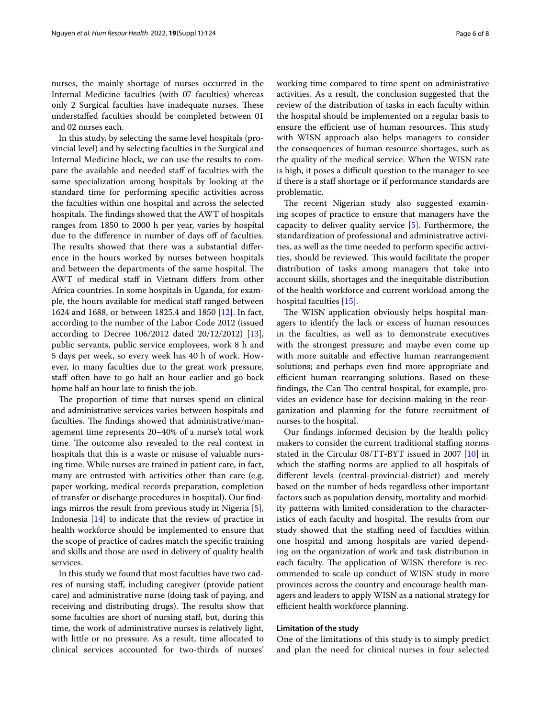nurses, the mainly shortage of nurses occurred in the Internal Medicine faculties (with 07 faculties) whereas only 2 Surgical faculties have inadequate nurses. These understafed faculties should be completed between 01 and 02 nurses each.

In this study, by selecting the same level hospitals (provincial level) and by selecting faculties in the Surgical and Internal Medicine block, we can use the results to compare the available and needed staf of faculties with the same specialization among hospitals by looking at the standard time for performing specifc activities across the faculties within one hospital and across the selected hospitals. The findings showed that the AWT of hospitals ranges from 1850 to 2000 h per year, varies by hospital due to the difference in number of days off of faculties. The results showed that there was a substantial difference in the hours worked by nurses between hospitals and between the departments of the same hospital. The AWT of medical staf in Vietnam difers from other Africa countries. In some hospitals in Uganda, for example, the hours available for medical staff ranged between 1624 and 1688, or between 1825.4 and 1850 [\[12](#page-7-7)]. In fact, according to the number of the Labor Code 2012 (issued according to Decree  $106/2012$  dated  $20/12/2012$  [\[13](#page-7-8)], public servants, public service employees, work 8 h and 5 days per week, so every week has 40 h of work. However, in many faculties due to the great work pressure, staff often have to go half an hour earlier and go back home half an hour late to fnish the job.

The proportion of time that nurses spend on clinical and administrative services varies between hospitals and faculties. The findings showed that administrative/management time represents 20–40% of a nurse's total work time. The outcome also revealed to the real context in hospitals that this is a waste or misuse of valuable nursing time. While nurses are trained in patient care, in fact, many are entrusted with activities other than care (e.g. paper working, medical records preparation, completion of transfer or discharge procedures in hospital). Our fndings mirros the result from previous study in Nigeria [\[5](#page-7-0)], Indonesia [\[14](#page-7-9)] to indicate that the review of practice in health workforce should be implemented to ensure that the scope of practice of cadres match the specifc training and skills and those are used in delivery of quality health services.

In this study we found that most faculties have two cadres of nursing staf, including caregiver (provide patient care) and administrative nurse (doing task of paying, and receiving and distributing drugs). The results show that some faculties are short of nursing staf, but, during this time, the work of administrative nurses is relatively light, with little or no pressure. As a result, time allocated to clinical services accounted for two-thirds of nurses'

working time compared to time spent on administrative activities. As a result, the conclusion suggested that the review of the distribution of tasks in each faculty within the hospital should be implemented on a regular basis to ensure the efficient use of human resources. This study with WISN approach also helps managers to consider the consequences of human resource shortages, such as the quality of the medical service. When the WISN rate is high, it poses a difficult question to the manager to see if there is a staff shortage or if performance standards are problematic.

The recent Nigerian study also suggested examining scopes of practice to ensure that managers have the capacity to deliver quality service [[5\]](#page-7-0). Furthermore, the standardization of professional and administrative activities, as well as the time needed to perform specifc activities, should be reviewed. This would facilitate the proper distribution of tasks among managers that take into account skills, shortages and the inequitable distribution of the health workforce and current workload among the hospital faculties [\[15](#page-7-10)].

The WISN application obviously helps hospital managers to identify the lack or excess of human resources in the faculties, as well as to demonstrate executives with the strongest pressure; and maybe even come up with more suitable and effective human rearrangement solutions; and perhaps even fnd more appropriate and efficient human rearranging solutions. Based on these findings, the Can Tho central hospital, for example, provides an evidence base for decision-making in the reorganization and planning for the future recruitment of nurses to the hospital.

Our fndings informed decision by the health policy makers to consider the current traditional staffing norms stated in the Circular 08/TT-BYT issued in 2007 [\[10](#page-7-5)] in which the staffing norms are applied to all hospitals of diferent levels (central-provincial-district) and merely based on the number of beds regardless other important factors such as population density, mortality and morbidity patterns with limited consideration to the characteristics of each faculty and hospital. The results from our study showed that the staffing need of faculties within one hospital and among hospitals are varied depending on the organization of work and task distribution in each faculty. The application of WISN therefore is recommended to scale up conduct of WISN study in more provinces across the country and encourage health managers and leaders to apply WISN as a national strategy for efficient health workforce planning.

## **Limitation of the study**

One of the limitations of this study is to simply predict and plan the need for clinical nurses in four selected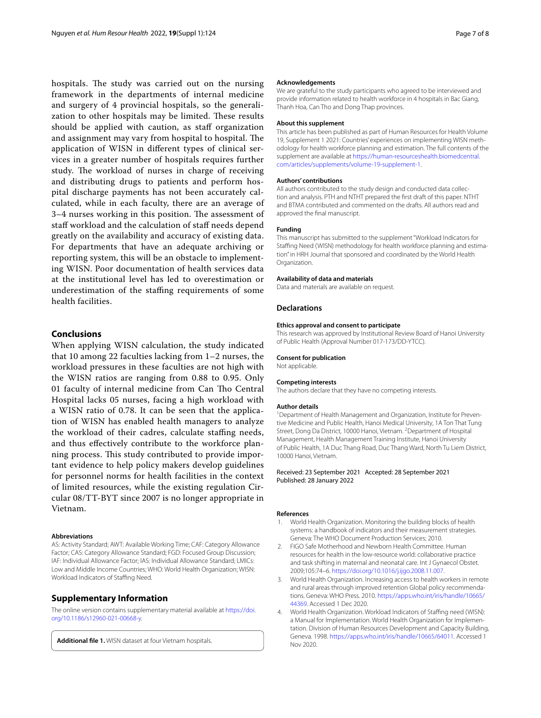hospitals. The study was carried out on the nursing framework in the departments of internal medicine and surgery of 4 provincial hospitals, so the generalization to other hospitals may be limited. These results should be applied with caution, as staff organization and assignment may vary from hospital to hospital. The application of WISN in diferent types of clinical services in a greater number of hospitals requires further study. The workload of nurses in charge of receiving and distributing drugs to patients and perform hospital discharge payments has not been accurately calculated, while in each faculty, there are an average of 3–4 nurses working in this position. The assessment of staf workload and the calculation of staf needs depend greatly on the availability and accuracy of existing data. For departments that have an adequate archiving or reporting system, this will be an obstacle to implementing WISN. Poor documentation of health services data at the institutional level has led to overestimation or underestimation of the stafng requirements of some health facilities.

## **Conclusions**

When applying WISN calculation, the study indicated that 10 among 22 faculties lacking from 1–2 nurses, the workload pressures in these faculties are not high with the WISN ratios are ranging from 0.88 to 0.95. Only 01 faculty of internal medicine from Can Tho Central Hospital lacks 05 nurses, facing a high workload with a WISN ratio of 0.78. It can be seen that the application of WISN has enabled health managers to analyze the workload of their cadres, calculate stafng needs, and thus efectively contribute to the workforce planning process. This study contributed to provide important evidence to help policy makers develop guidelines for personnel norms for health facilities in the context of limited resources, while the existing regulation Circular 08/TT-BYT since 2007 is no longer appropriate in Vietnam.

#### **Abbreviations**

AS: Activity Standard; AWT: Available Working Time; CAF: Category Allowance Factor; CAS: Category Allowance Standard; FGD: Focused Group Discussion; IAF: Individual Allowance Factor; IAS: Individual Allowance Standard; LMICs: Low and Middle Income Countries; WHO: World Health Organization; WISN: Workload Indicators of Staffing Need.

## **Supplementary Information**

The online version contains supplementary material available at [https://doi.](https://doi.org/10.1186/s12960-021-00668-y) [org/10.1186/s12960-021-00668-y.](https://doi.org/10.1186/s12960-021-00668-y)

**Additional fle 1.** WISN dataset at four Vietnam hospitals.

#### **Acknowledgements**

We are grateful to the study participants who agreed to be interviewed and provide information related to health workforce in 4 hospitals in Bac Giang, Thanh Hoa, Can Tho and Dong Thap provinces.

#### **About this supplement**

This article has been published as part of Human Resources for Health Volume 19, Supplement 1 2021: Countries' experiences on implementing WISN methodology for health workforce planning and estimation. The full contents of the supplement are available at [https://human-resourceshealth.biomedcentral.](https://human-resourceshealth.biomedcentral.com/articles/supplements/volume-19-supplement-1) [com/articles/supplements/volume-19-supplement-1](https://human-resourceshealth.biomedcentral.com/articles/supplements/volume-19-supplement-1).

#### **Authors' contributions**

All authors contributed to the study design and conducted data collection and analysis. PTH and NTHT prepared the frst draft of this paper. NTHT and BTMA contributed and commented on the drafts. All authors read and approved the fnal manuscript.

#### **Funding**

This manuscript has submitted to the supplement "Workload Indicators for Staffing Need (WISN) methodology for health workforce planning and estimation" in HRH Journal that sponsored and coordinated by the World Health Organization.

## **Availability of data and materials**

Data and materials are available on request.

#### **Declarations**

#### **Ethics approval and consent to participate**

This research was approved by Institutional Review Board of Hanoi University of Public Health (Approval Number 017-173/DD-YTCC).

#### **Consent for publication**

Not applicable.

#### **Competing interests**

The authors declare that they have no competing interests.

#### **Author details**

<sup>1</sup> Department of Health Management and Organization, Institute for Preventive Medicine and Public Health, Hanoi Medical University, 1A Ton That Tung Street, Dong Da District, 10000 Hanoi, Vietnam. <sup>2</sup> Department of Hospital Management, Health Management Training Institute, Hanoi University of Public Health, 1A Duc Thang Road, Duc Thang Ward, North Tu Liem District, 10000 Hanoi, Vietnam.

### Received: 23 September 2021 Accepted: 28 September 2021 Published: 28 January 2022

#### **References**

- <span id="page-6-0"></span>1. World Health Organization. Monitoring the building blocks of health systems: a handbook of indicators and their measurement strategies. Geneva: The WHO Document Production Services; 2010.
- <span id="page-6-1"></span>2. FIGO Safe Motherhood and Newborn Health Committee. Human resources for health in the low-resource world: collaborative practice and task shifting in maternal and neonatal care. Int J Gynaecol Obstet. 2009;105:74–6. <https://doi.org/10.1016/j.ijgo.2008.11.007>.
- 3. World Health Organization. Increasing access to health workers in remote and rural areas through improved retention Global policy recommendations. Geneva: WHO Press. 2010. [https://apps.who.int/iris/handle/10665/](https://apps.who.int/iris/handle/10665/44369) [44369](https://apps.who.int/iris/handle/10665/44369). Accessed 1 Dec 2020.
- <span id="page-6-2"></span>4. World Health Organization. Workload Indicators of Staffing need (WISN): a Manual for Implementation. World Health Organization for Implementation. Division of Human Resources Development and Capacity Building, Geneva. 1998. [https://apps.who.int/iris/handle/10665/64011.](https://apps.who.int/iris/handle/10665/64011) Accessed 1 Nov 2020.